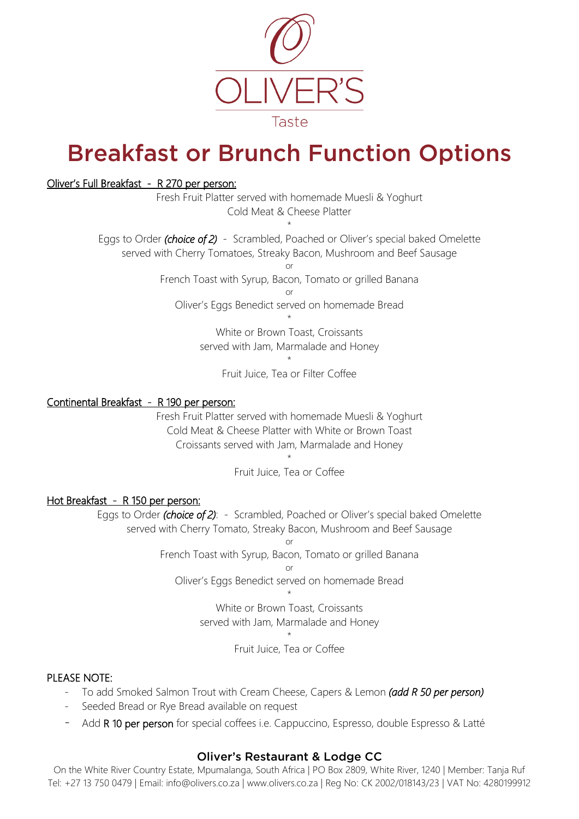

# Breakfast or Brunch Function Options

## Oliver's Full Breakfast - R 270 per person:

Fresh Fruit Platter served with homemade Muesli & Yoghurt Cold Meat & Cheese Platter

\* Eggs to Order *(choice of 2)* - Scrambled, Poached or Oliver's special baked Omelette served with Cherry Tomatoes, Streaky Bacon, Mushroom and Beef Sausage

or

French Toast with Syrup, Bacon, Tomato or grilled Banana

or

Oliver's Eggs Benedict served on homemade Bread \*

> White or Brown Toast, Croissants served with Jam, Marmalade and Honey

> > \* Fruit Juice, Tea or Filter Coffee

## Continental Breakfast - R 190 per person:

Fresh Fruit Platter served with homemade Muesli & Yoghurt Cold Meat & Cheese Platter with White or Brown Toast Croissants served with Jam, Marmalade and Honey

> \* Fruit Juice, Tea or Coffee

## Hot Breakfast - R 150 per person:

Eggs to Order *(choice of 2)*: - Scrambled, Poached or Oliver's special baked Omelette served with Cherry Tomato, Streaky Bacon, Mushroom and Beef Sausage

> or French Toast with Syrup, Bacon, Tomato or grilled Banana

or

Oliver's Eggs Benedict served on homemade Bread \*

> White or Brown Toast, Croissants served with Jam, Marmalade and Honey \*

> > Fruit Juice, Tea or Coffee

## PLEASE NOTE:

- To add Smoked Salmon Trout with Cream Cheese, Capers & Lemon *(add R 50 per person)*
- Seeded Bread or Rye Bread available on request
- Add R 10 per person for special coffees i.e. Cappuccino, Espresso, double Espresso & Latté

# Oliver's Restaurant & Lodge CC

On the White River Country Estate, Mpumalanga, South Africa | PO Box 2809, White River, 1240 | Member: Tanja Ruf Tel: +27 13 750 0479 | Email: info@olivers.co.za | www.olivers.co.za | Reg No: CK 2002/018143/23 | VAT No: 4280199912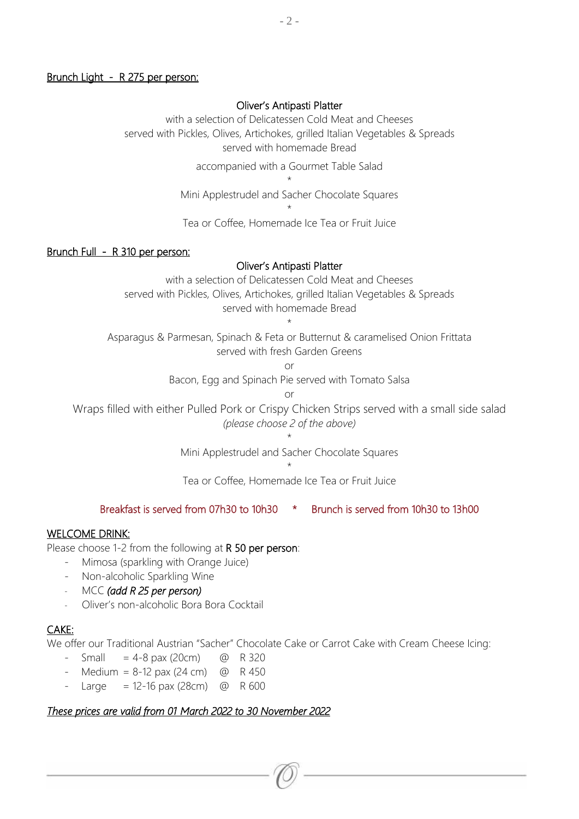#### Brunch Light - R 275 per person:

#### Oliver's Antipasti Platter

with a selection of Delicatessen Cold Meat and Cheeses served with Pickles, Olives, Artichokes, grilled Italian Vegetables & Spreads served with homemade Bread

accompanied with a Gourmet Table Salad

\* Mini Applestrudel and Sacher Chocolate Squares

\*

Tea or Coffee, Homemade Ice Tea or Fruit Juice

#### Brunch Full - R 310 per person:

#### Oliver's Antipasti Platter

with a selection of Delicatessen Cold Meat and Cheeses served with Pickles, Olives, Artichokes, grilled Italian Vegetables & Spreads served with homemade Bread

\*

Asparagus & Parmesan, Spinach & Feta or Butternut & caramelised Onion Frittata served with fresh Garden Greens

or

Bacon, Egg and Spinach Pie served with Tomato Salsa

or

Wraps filled with either Pulled Pork or Crispy Chicken Strips served with a small side salad *(please choose 2 of the above)*

> \* Mini Applestrudel and Sacher Chocolate Squares

> > \*

Tea or Coffee, Homemade Ice Tea or Fruit Juice

## Breakfast is served from 07h30 to 10h30 \* Brunch is served from 10h30 to 13h00

### WELCOME DRINK:

Please choose 1-2 from the following at R 50 per person:

- Mimosa (sparkling with Orange Juice)
- Non-alcoholic Sparkling Wine
- MCC *(add R 25 per person)*
- Oliver's non-alcoholic Bora Bora Cocktail

## CAKE:

We offer our Traditional Austrian "Sacher" Chocolate Cake or Carrot Cake with Cream Cheese Icing:

- $-$  Small  $= 4-8$  pax (20cm)  $\omega$  R 320
- Medium =  $8-12$  pax (24 cm) @ R 450
- $-$  Large = 12-16 pax (28cm)  $\omega$  R 600

## *These prices are valid from 01 March 2022 to 30 November 2022*